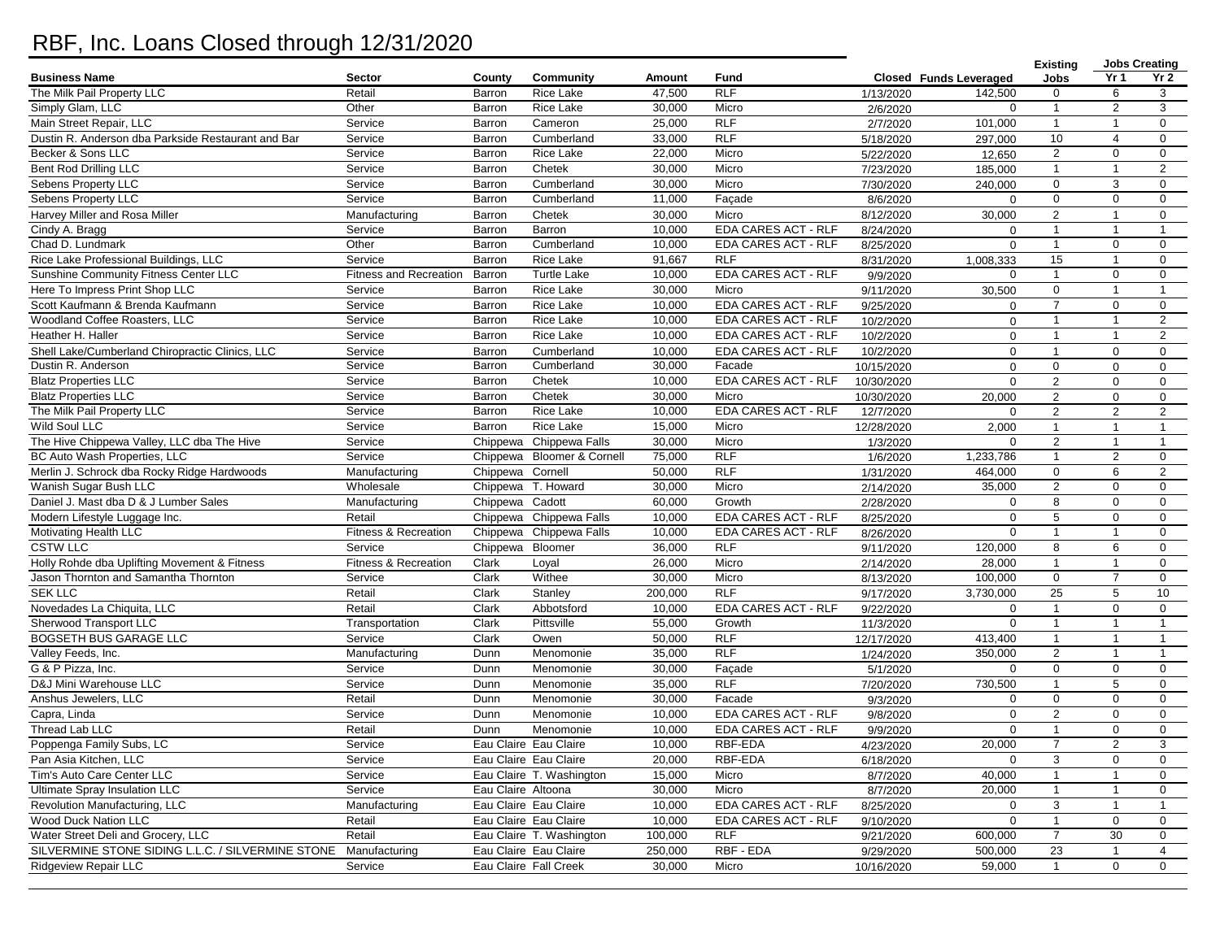## RBF, Inc. Loans Closed through 12/31/2020

|                                                    |                               |                    |                            |         |                            |                        |                        | <b>Existing</b> | <b>Jobs Creating</b> |                 |
|----------------------------------------------------|-------------------------------|--------------------|----------------------------|---------|----------------------------|------------------------|------------------------|-----------------|----------------------|-----------------|
| <b>Business Name</b>                               | <b>Sector</b>                 | County             | Community                  | Amount  | Fund                       |                        | Closed Funds Leveraged | Jobs            | Yr <sub>1</sub>      | Yr <sub>2</sub> |
| The Milk Pail Property LLC                         | Retail                        | Barron             | Rice Lake                  | 47,500  | RLF                        | 1/13/2020              | 142.500                | $\mathbf 0$     | 6                    | 3               |
| Simply Glam, LLC                                   | Other                         | Barron             | <b>Rice Lake</b>           | 30,000  | Micro                      | 2/6/2020               | 0                      | $\mathbf{1}$    | 2                    | 3               |
| Main Street Repair, LLC                            | Service                       | Barron             | Cameron                    | 25,000  | <b>RLF</b>                 | 2/7/2020               | 101,000                | $\mathbf{1}$    | $\overline{1}$       | $\mathbf 0$     |
| Dustin R. Anderson dba Parkside Restaurant and Bar | Service                       | Barron             | Cumberland                 | 33,000  | <b>RLF</b>                 | 5/18/2020              | 297,000                | 10              | $\overline{4}$       | $\mathbf 0$     |
| Becker & Sons LLC                                  | Service                       | Barron             | <b>Rice Lake</b>           | 22,000  | Micro                      | 5/22/2020              | 12,650                 | 2               | $\mathbf 0$          | $\mathbf 0$     |
| Bent Rod Drilling LLC                              | Service                       | Barron             | Chetek                     | 30,000  | Micro                      | 7/23/2020              | 185,000                | $\mathbf{1}$    | $\overline{1}$       | 2               |
| Sebens Property LLC                                | Service                       | Barron             | Cumberland                 | 30,000  | Micro                      | 7/30/2020              | 240,000                | $\mathbf 0$     | 3                    | $\mathbf 0$     |
| Sebens Property LLC                                | Service                       | Barron             | Cumberland                 | 11,000  | Façade                     | 8/6/2020               | $\Omega$               | $\mathbf 0$     | $\mathbf 0$          | $\mathbf 0$     |
| Harvey Miller and Rosa Miller                      | Manufacturing                 | Barron             | Chetek                     | 30,000  | Micro                      | 8/12/2020              | 30,000                 | $\overline{2}$  | $\overline{1}$       | $\mathbf 0$     |
| Cindy A. Bragg                                     | Service                       | Barron             | Barron                     | 10,000  | <b>EDA CARES ACT - RLF</b> | 8/24/2020              | $\mathbf 0$            | $\mathbf{1}$    | $\mathbf{1}$         | $\mathbf{1}$    |
| Chad D. Lundmark                                   | Other                         | Barron             | Cumberland                 | 10,000  | EDA CARES ACT - RLF        | 8/25/2020              | $\mathbf 0$            | $\mathbf{1}$    | 0                    | $\mathbf 0$     |
| Rice Lake Professional Buildings, LLC              | Service                       | Barron             | <b>Rice Lake</b>           | 91,667  | <b>RLF</b>                 | 8/31/2020              | 1,008,333              | 15              | $\mathbf{1}$         | $\mathbf 0$     |
| Sunshine Community Fitness Center LLC              | <b>Fitness and Recreation</b> | Barron             | <b>Turtle Lake</b>         | 10,000  | EDA CARES ACT - RLF        | 9/9/2020               | $\mathbf 0$            | $\mathbf{1}$    | $\mathbf 0$          | $\mathbf 0$     |
| Here To Impress Print Shop LLC                     | Service                       | Barron             | <b>Rice Lake</b>           | 30,000  | Micro                      | 9/11/2020              | 30,500                 | 0               | $\mathbf{1}$         | $\mathbf{1}$    |
| Scott Kaufmann & Brenda Kaufmann                   | Service                       | Barron             | <b>Rice Lake</b>           | 10,000  | <b>EDA CARES ACT - RLF</b> | 9/25/2020              | $\Omega$               | $\overline{7}$  | $\mathbf 0$          | $\mathbf 0$     |
| Woodland Coffee Roasters, LLC                      | Service                       | Barron             | <b>Rice Lake</b>           | 10,000  | EDA CARES ACT - RLF        | 10/2/2020              | $\mathbf 0$            | $\mathbf{1}$    | $\overline{1}$       | $\overline{2}$  |
| Heather H. Haller                                  | Service                       | Barron             | <b>Rice Lake</b>           | 10,000  | EDA CARES ACT - RLF        | 10/2/2020              | $\mathbf 0$            | $\mathbf{1}$    | $\overline{1}$       | 2               |
| Shell Lake/Cumberland Chiropractic Clinics, LLC    | Service                       | Barron             | Cumberland                 | 10,000  | EDA CARES ACT - RLF        | 10/2/2020              | $\Omega$               | $\mathbf{1}$    | $\mathbf{0}$         | $\mathbf 0$     |
| Dustin R. Anderson                                 | Service                       | Barron             | Cumberland                 | 30,000  | Facade                     | 10/15/2020             | $\mathbf 0$            | $\mathbf 0$     | $\mathbf 0$          | $\mathbf 0$     |
| <b>Blatz Properties LLC</b>                        | Service                       | Barron             | Chetek                     | 10,000  | EDA CARES ACT - RLF        | 10/30/2020             | $\Omega$               | $\overline{2}$  | $\mathbf 0$          | $\mathbf 0$     |
| <b>Blatz Properties LLC</b>                        | Service                       | Barron             | Chetek                     | 30,000  | Micro                      | 10/30/2020             | 20,000                 | $\overline{2}$  | $\mathbf 0$          | $\mathbf 0$     |
| The Milk Pail Property LLC                         | Service                       | Barron             | Rice Lake                  | 10,000  | <b>EDA CARES ACT - RLF</b> | 12/7/2020              | $\Omega$               | $\overline{2}$  | $\overline{2}$       | 2               |
| <b>Wild Soul LLC</b>                               | Service                       | Barron             | <b>Rice Lake</b>           | 15,000  | Micro                      | 12/28/2020             | 2,000                  | $\mathbf{1}$    | $\overline{1}$       | $\mathbf{1}$    |
| The Hive Chippewa Valley, LLC dba The Hive         | Service                       |                    | Chippewa Chippewa Falls    | 30,000  | Micro                      | 1/3/2020               | $\mathbf 0$            | $\overline{2}$  | $\mathbf{1}$         | $\mathbf{1}$    |
| BC Auto Wash Properties, LLC                       | Service                       |                    | Chippewa Bloomer & Cornell | 75,000  | <b>RLF</b>                 | 1/6/2020               | 1,233,786              | $\mathbf{1}$    | 2                    | $\mathbf 0$     |
| Merlin J. Schrock dba Rocky Ridge Hardwoods        | Manufacturing                 | Chippewa Cornell   |                            | 50,000  | RLF                        | 1/31/2020              | 464,000                | $\mathbf 0$     | 6                    | $\overline{2}$  |
| Wanish Sugar Bush LLC                              | Wholesale                     | Chippewa           | T. Howard                  | 30,000  | Micro                      |                        | 35,000                 | 2               | $\mathbf 0$          | $\mathbf 0$     |
| Daniel J. Mast dba D & J Lumber Sales              |                               | Chippewa Cadott    |                            | 60,000  | Growth                     | 2/14/2020<br>2/28/2020 | $\mathbf 0$            | 8               | $\mathbf 0$          | $\mathbf 0$     |
| Modern Lifestyle Luggage Inc.                      | Manufacturing<br>Retail       |                    | Chippewa Chippewa Falls    | 10,000  | EDA CARES ACT - RLF        |                        | $\mathbf 0$            | 5               | $\mathbf 0$          | $\mathbf 0$     |
|                                                    | Fitness & Recreation          |                    | Chippewa Falls             | 10,000  | <b>EDA CARES ACT - RLF</b> | 8/25/2020              | $\mathbf 0$            | $\mathbf{1}$    | $\mathbf{1}$         | $\mathbf 0$     |
| Motivating Health LLC<br><b>CSTW LLC</b>           |                               | Chippewa           |                            | 36,000  | <b>RLF</b>                 | 8/26/2020              |                        |                 |                      |                 |
|                                                    | Service                       | Chippewa           | Bloomer                    |         |                            | 9/11/2020              | 120,000                | 8               | 6                    | $\mathbf 0$     |
| Holly Rohde dba Uplifting Movement & Fitness       | Fitness & Recreation          | Clark              | Loyal                      | 26,000  | Micro                      | 2/14/2020              | 28,000                 | $\mathbf{1}$    | $\mathbf{1}$         | $\mathbf 0$     |
| Jason Thornton and Samantha Thornton               | Service                       | Clark              | Withee                     | 30,000  | Micro                      | 8/13/2020              | 100,000                | $\mathbf 0$     | $\overline{7}$       | $\mathbf 0$     |
| <b>SEK LLC</b>                                     | Retail                        | Clark              | Stanley                    | 200,000 | <b>RLF</b>                 | 9/17/2020              | 3,730,000              | $\overline{25}$ | 5                    | 10              |
| Novedades La Chiquita, LLC                         | Retail                        | Clark              | Abbotsford                 | 10,000  | <b>EDA CARES ACT - RLF</b> | 9/22/2020              | $\mathbf 0$            | $\mathbf{1}$    | 0                    | 0               |
| Sherwood Transport LLC                             | Transportation                | Clark              | Pittsville                 | 55,000  | Growth                     | 11/3/2020              | $\mathbf 0$            | $\mathbf{1}$    | $\mathbf{1}$         | $\mathbf{1}$    |
| BOGSETH BUS GARAGE LLC                             | Service                       | Clark              | Owen                       | 50,000  | <b>RLF</b>                 | 12/17/2020             | 413,400                | $\mathbf{1}$    | $\mathbf{1}$         | $\mathbf{1}$    |
| Valley Feeds, Inc.                                 | Manufacturing                 | Dunn               | Menomonie                  | 35,000  | RLF                        | 1/24/2020              | 350,000                | 2               | $\mathbf{1}$         | $\mathbf{1}$    |
| G & P Pizza, Inc.                                  | Service                       | Dunn               | Menomonie                  | 30,000  | Façade                     | 5/1/2020               | $\mathbf 0$            | $\mathbf 0$     | $\mathbf 0$          | $\mathbf{0}$    |
| D&J Mini Warehouse LLC                             | Service                       | Dunn               | Menomonie                  | 35,000  | <b>RLF</b>                 | 7/20/2020              | 730,500                | $\mathbf{1}$    | 5                    | $\mathbf 0$     |
| Anshus Jewelers, LLC                               | Retail                        | Dunn               | Menomonie                  | 30,000  | Facade                     | 9/3/2020               | 0                      | 0               | $\mathbf 0$          | $\mathbf 0$     |
| Capra, Linda                                       | Service                       | Dunn               | Menomonie                  | 10,000  | <b>EDA CARES ACT - RLF</b> | 9/8/2020               | $\mathbf 0$            | 2               | $\mathbf 0$          | $\mathbf 0$     |
| Thread Lab LLC                                     | Retail                        | Dunn               | Menomonie                  | 10,000  | EDA CARES ACT - RLF        | 9/9/2020               | $\mathbf 0$            | $\mathbf{1}$    | $\mathbf 0$          | $\mathbf 0$     |
| Poppenga Family Subs, LC                           | Service                       |                    | Eau Claire Eau Claire      | 10,000  | RBF-EDA                    | 4/23/2020              | 20,000                 | $\overline{7}$  | 2                    | 3               |
| Pan Asia Kitchen, LLC                              | Service                       |                    | Eau Claire Eau Claire      | 20,000  | RBF-EDA                    | 6/18/2020              | 0                      | 3               | 0                    | 0               |
| Tim's Auto Care Center LLC                         | Service                       |                    | Eau Claire T. Washington   | 15,000  | Micro                      | 8/7/2020               | 40,000                 | 1               | $\mathbf{1}$         | 0               |
| <b>Ultimate Spray Insulation LLC</b>               | Service                       | Eau Claire Altoona |                            | 30,000  | Micro                      | 8/7/2020               | 20,000                 | $\mathbf{1}$    | -1                   | $\mathbf 0$     |
| Revolution Manufacturing, LLC                      | Manufacturing                 |                    | Eau Claire Eau Claire      | 10,000  | EDA CARES ACT - RLF        | 8/25/2020              | 0                      | 3               | $\mathbf{1}$         | $\mathbf{1}$    |
| Wood Duck Nation LLC                               | Retail                        |                    | Eau Claire Eau Claire      | 10,000  | EDA CARES ACT - RLF        | 9/10/2020              | 0                      | $\mathbf{1}$    | 0                    | 0               |
| Water Street Deli and Grocery, LLC                 | Retail                        |                    | Eau Claire T. Washington   | 100,000 | <b>RLF</b>                 | 9/21/2020              | 600,000                | $\overline{7}$  | 30                   | $\mathbf 0$     |
| SILVERMINE STONE SIDING L.L.C. / SILVERMINE STONE  | Manufacturing                 |                    | Eau Claire Eau Claire      | 250,000 | RBF - EDA                  | 9/29/2020              | 500,000                | 23              | $\mathbf{1}$         | $\overline{4}$  |
| <b>Ridgeview Repair LLC</b>                        | Service                       |                    | Eau Claire Fall Creek      | 30,000  | Micro                      | 10/16/2020             | 59,000                 | $\mathbf{1}$    | 0                    | $\mathsf{O}$    |
|                                                    |                               |                    |                            |         |                            |                        |                        |                 |                      |                 |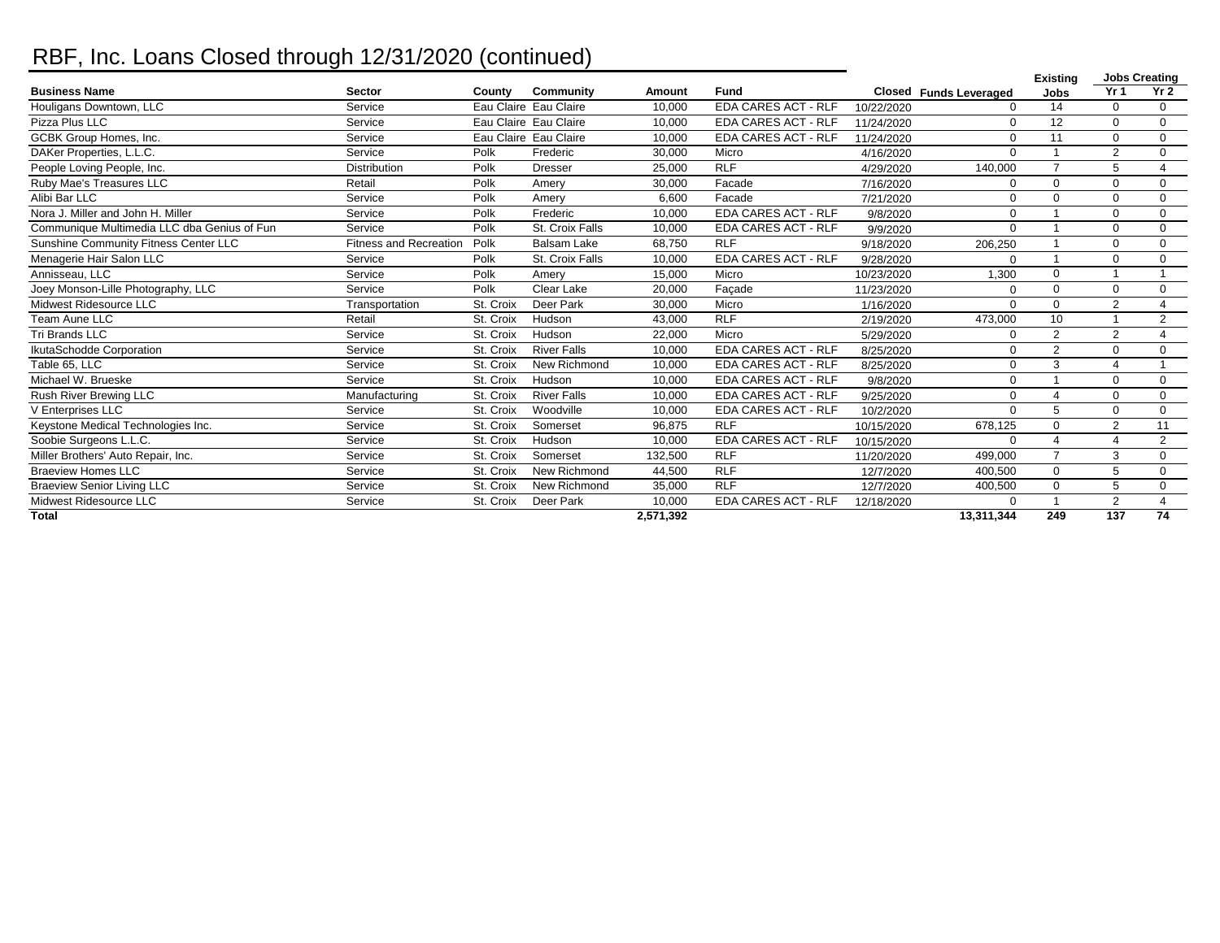## RBF, Inc. Loans Closed through 12/31/2020 (continued)

|                                             |                               |           |                       |           |                            |            |                        | <b>Jobs Creating</b><br><b>Existing</b> |                       |                 |
|---------------------------------------------|-------------------------------|-----------|-----------------------|-----------|----------------------------|------------|------------------------|-----------------------------------------|-----------------------|-----------------|
| <b>Business Name</b>                        | <b>Sector</b>                 | County    | Community             | Amount    | <b>Fund</b>                |            | Closed Funds Leveraged | <b>Jobs</b>                             | Yr <sub>1</sub>       | Yr <sub>2</sub> |
| Houligans Downtown, LLC                     | Service                       |           | Eau Claire Eau Claire | 10,000    | <b>EDA CARES ACT - RLF</b> | 10/22/2020 | $\Omega$               | 14                                      | $\Omega$              | $\mathbf{0}$    |
| Pizza Plus LLC                              | Service                       |           | Eau Claire Eau Claire | 10,000    | <b>EDA CARES ACT - RLF</b> | 11/24/2020 | $\Omega$               | 12                                      | $\mathbf 0$           | $\mathbf 0$     |
| GCBK Group Homes, Inc.                      | Service                       |           | Eau Claire Eau Claire | 10,000    | <b>EDA CARES ACT - RLF</b> | 11/24/2020 | $\Omega$               | 11                                      | $\Omega$              | $\mathbf 0$     |
| DAKer Properties, L.L.C.                    | Service                       | Polk      | Frederic              | 30,000    | Micro                      | 4/16/2020  | $\Omega$               |                                         | $\overline{2}$        | $\mathbf 0$     |
| People Loving People, Inc.                  | <b>Distribution</b>           | Polk      | <b>Dresser</b>        | 25,000    | <b>RLF</b>                 | 4/29/2020  | 140,000                | $\overline{7}$                          | 5                     | $\overline{4}$  |
| Ruby Mae's Treasures LLC                    | Retail                        | Polk      | Amery                 | 30,000    | Facade                     | 7/16/2020  | $\mathbf 0$            | $\mathbf 0$                             | $\Omega$              | $\mathbf 0$     |
| Alibi Bar LLC                               | Service                       | Polk      | Amerv                 | 6,600     | Facade                     | 7/21/2020  | $\mathbf 0$            | $\mathbf 0$                             | $\mathbf 0$           | $\mathbf 0$     |
| Nora J. Miller and John H. Miller           | Service                       | Polk      | Frederic              | 10,000    | <b>EDA CARES ACT - RLF</b> | 9/8/2020   | $\Omega$               |                                         | $\Omega$              | $\Omega$        |
| Communique Multimedia LLC dba Genius of Fun | Service                       | Polk      | St. Croix Falls       | 10,000    | <b>EDA CARES ACT - RLF</b> | 9/9/2020   | $\Omega$               |                                         | $\Omega$              | $\mathbf 0$     |
| Sunshine Community Fitness Center LLC       | <b>Fitness and Recreation</b> | Polk      | <b>Balsam Lake</b>    | 68,750    | <b>RLF</b>                 | 9/18/2020  | 206,250                |                                         | $\Omega$              | $\mathbf 0$     |
| Menagerie Hair Salon LLC                    | Service                       | Polk      | St. Croix Falls       | 10,000    | <b>EDA CARES ACT - RLF</b> | 9/28/2020  | $\Omega$               | 1                                       | $\Omega$              | $\Omega$        |
| Annisseau, LLC                              | Service                       | Polk      | Amerv                 | 15.000    | Micro                      | 10/23/2020 | 1.300                  | $\mathbf 0$                             |                       |                 |
| Joey Monson-Lille Photography, LLC          | Service                       | Polk      | Clear Lake            | 20,000    | Facade                     | 11/23/2020 | $\Omega$               | $\mathbf 0$                             | $\Omega$              | $\Omega$        |
| Midwest Ridesource LLC                      | Transportation                | St. Croix | Deer Park             | 30.000    | Micro                      | 1/16/2020  | $\Omega$               | $\Omega$                                | 2                     | $\Delta$        |
| Team Aune LLC                               | Retail                        | St. Croix | Hudson                | 43,000    | <b>RLF</b>                 | 2/19/2020  | 473,000                | 10                                      |                       | $\overline{2}$  |
| Tri Brands LLC                              | Service                       | St. Croix | Hudson                | 22,000    | Micro                      | 5/29/2020  | $\Omega$               | $\overline{2}$                          | 2                     | $\Delta$        |
| IkutaSchodde Corporation                    | Service                       | St. Croix | <b>River Falls</b>    | 10,000    | <b>EDA CARES ACT - RLF</b> | 8/25/2020  | $\Omega$               | $\overline{2}$                          | $\Omega$              | $\Omega$        |
| Table 65, LLC                               | Service                       | St. Croix | New Richmond          | 10,000    | <b>EDA CARES ACT - RLF</b> | 8/25/2020  | $\Omega$               | 3                                       | $\boldsymbol{\Delta}$ |                 |
| Michael W. Brueske                          | Service                       | St. Croix | Hudson                | 10,000    | <b>EDA CARES ACT - RLF</b> | 9/8/2020   | 0                      |                                         | $\Omega$              | $\Omega$        |
| Rush River Brewing LLC                      | Manufacturing                 | St. Croix | <b>River Falls</b>    | 10,000    | <b>EDA CARES ACT - RLF</b> | 9/25/2020  | $\Omega$               | $\overline{4}$                          | $\mathbf 0$           | $\mathbf 0$     |
| V Enterprises LLC                           | Service                       | St. Croix | Woodville             | 10,000    | <b>EDA CARES ACT - RLF</b> | 10/2/2020  | $\Omega$               | 5                                       | $\Omega$              | $\mathbf 0$     |
| Keystone Medical Technologies Inc.          | Service                       | St. Croix | Somerset              | 96,875    | <b>RLF</b>                 | 10/15/2020 | 678.125                | $\Omega$                                | 2                     | 11              |
| Soobie Surgeons L.L.C.                      | Service                       | St. Croix | Hudson                | 10,000    | <b>EDA CARES ACT - RLF</b> | 10/15/2020 | $\Omega$               | $\overline{4}$                          | $\overline{4}$        | 2               |
| Miller Brothers' Auto Repair, Inc.          | Service                       | St. Croix | Somerset              | 132,500   | <b>RLF</b>                 | 11/20/2020 | 499,000                | $\overline{7}$                          | 3                     | $\mathbf 0$     |
| <b>Braeview Homes LLC</b>                   | Service                       | St. Croix | New Richmond          | 44,500    | <b>RLF</b>                 | 12/7/2020  | 400,500                | 0                                       | 5                     | $\mathbf 0$     |
| <b>Braeview Senior Living LLC</b>           | Service                       | St. Croix | New Richmond          | 35,000    | <b>RLF</b>                 | 12/7/2020  | 400,500                | $\mathbf 0$                             | 5                     | $\mathbf 0$     |
| Midwest Ridesource LLC                      | Service                       | St. Croix | Deer Park             | 10,000    | <b>EDA CARES ACT - RLF</b> | 12/18/2020 | $\Omega$               | 1                                       | $\overline{2}$        | $\overline{4}$  |
| Total                                       |                               |           |                       | 2,571,392 |                            |            | 13,311,344             | 249                                     | 137                   | 74              |